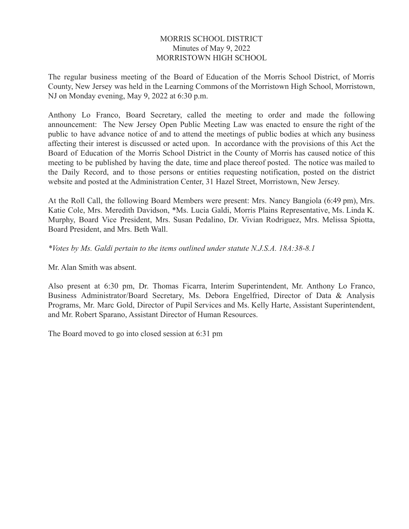## MORRIS SCHOOL DISTRICT Minutes of May 9, 2022 MORRISTOWN HIGH SCHOOL

The regular business meeting of the Board of Education of the Morris School District, of Morris County, New Jersey was held in the Learning Commons of the Morristown High School, Morristown, NJ on Monday evening, May 9, 2022 at 6:30 p.m.

Anthony Lo Franco, Board Secretary, called the meeting to order and made the following announcement: The New Jersey Open Public Meeting Law was enacted to ensure the right of the public to have advance notice of and to attend the meetings of public bodies at which any business affecting their interest is discussed or acted upon. In accordance with the provisions of this Act the Board of Education of the Morris School District in the County of Morris has caused notice of this meeting to be published by having the date, time and place thereof posted. The notice was mailed to the Daily Record, and to those persons or entities requesting notification, posted on the district website and posted at the Administration Center, 31 Hazel Street, Morristown, New Jersey.

At the Roll Call, the following Board Members were present: Mrs. Nancy Bangiola (6:49 pm), Mrs. Katie Cole, Mrs. Meredith Davidson, \*Ms. Lucia Galdi, Morris Plains Representative, Ms. Linda K. Murphy, Board Vice President, Mrs. Susan Pedalino, Dr. Vivian Rodriguez, Mrs. Melissa Spiotta, Board President, and Mrs. Beth Wall.

*\*Votes by Ms. Galdi pertain to the items outlined under statute N.J.S.A. 18A:38-8.1*

Mr. Alan Smith was absent.

Also present at 6:30 pm, Dr. Thomas Ficarra, Interim Superintendent, Mr. Anthony Lo Franco, Business Administrator/Board Secretary, Ms. Debora Engelfried, Director of Data & Analysis Programs, Mr. Marc Gold, Director of Pupil Services and Ms. Kelly Harte, Assistant Superintendent, and Mr. Robert Sparano, Assistant Director of Human Resources.

The Board moved to go into closed session at 6:31 pm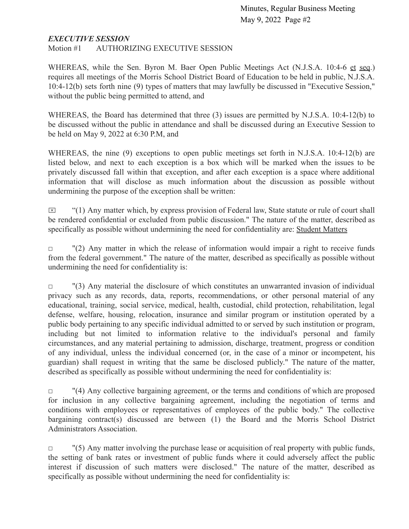## *EXECUTIVE SESSION*

Motion #1 AUTHORIZING EXECUTIVE SESSION

WHEREAS, while the Sen. Byron M. Baer Open Public Meetings Act (N.J.S.A. 10:4-6 et seq.) requires all meetings of the Morris School District Board of Education to be held in public, N.J.S.A. 10:4-12(b) sets forth nine (9) types of matters that may lawfully be discussed in "Executive Session," without the public being permitted to attend, and

WHEREAS, the Board has determined that three (3) issues are permitted by N.J.S.A. 10:4-12(b) to be discussed without the public in attendance and shall be discussed during an Executive Session to be held on May 9, 2022 at 6:30 P.M, and

WHEREAS, the nine (9) exceptions to open public meetings set forth in N.J.S.A. 10:4-12(b) are listed below, and next to each exception is a box which will be marked when the issues to be privately discussed fall within that exception, and after each exception is a space where additional information that will disclose as much information about the discussion as possible without undermining the purpose of the exception shall be written:

 $\boxtimes$  "(1) Any matter which, by express provision of Federal law, State statute or rule of court shall be rendered confidential or excluded from public discussion." The nature of the matter, described as specifically as possible without undermining the need for confidentiality are: Student Matters

 $\Box$  "(2) Any matter in which the release of information would impair a right to receive funds from the federal government." The nature of the matter, described as specifically as possible without undermining the need for confidentiality is:

 $\Box$  "(3) Any material the disclosure of which constitutes an unwarranted invasion of individual privacy such as any records, data, reports, recommendations, or other personal material of any educational, training, social service, medical, health, custodial, child protection, rehabilitation, legal defense, welfare, housing, relocation, insurance and similar program or institution operated by a public body pertaining to any specific individual admitted to or served by such institution or program, including but not limited to information relative to the individual's personal and family circumstances, and any material pertaining to admission, discharge, treatment, progress or condition of any individual, unless the individual concerned (or, in the case of a minor or incompetent, his guardian) shall request in writing that the same be disclosed publicly." The nature of the matter, described as specifically as possible without undermining the need for confidentiality is:

 $\Box$  "(4) Any collective bargaining agreement, or the terms and conditions of which are proposed for inclusion in any collective bargaining agreement, including the negotiation of terms and conditions with employees or representatives of employees of the public body." The collective bargaining contract(s) discussed are between (1) the Board and the Morris School District Administrators Association.

 $\Box$  "(5) Any matter involving the purchase lease or acquisition of real property with public funds, the setting of bank rates or investment of public funds where it could adversely affect the public interest if discussion of such matters were disclosed." The nature of the matter, described as specifically as possible without undermining the need for confidentiality is: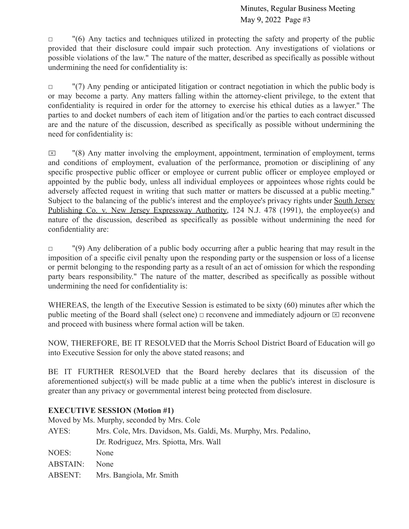$\Box$  "(6) Any tactics and techniques utilized in protecting the safety and property of the public provided that their disclosure could impair such protection. Any investigations of violations or possible violations of the law." The nature of the matter, described as specifically as possible without undermining the need for confidentiality is:

 $\Box$  "(7) Any pending or anticipated litigation or contract negotiation in which the public body is or may become a party. Any matters falling within the attorney-client privilege, to the extent that confidentiality is required in order for the attorney to exercise his ethical duties as a lawyer." The parties to and docket numbers of each item of litigation and/or the parties to each contract discussed are and the nature of the discussion, described as specifically as possible without undermining the need for confidentiality is:

 $\boxtimes$  "(8) Any matter involving the employment, appointment, termination of employment, terms and conditions of employment, evaluation of the performance, promotion or disciplining of any specific prospective public officer or employee or current public officer or employee employed or appointed by the public body, unless all individual employees or appointees whose rights could be adversely affected request in writing that such matter or matters be discussed at a public meeting." Subject to the balancing of the public's interest and the employee's privacy rights under South Jersey Publishing Co. v. New Jersey Expressway Authority, 124 N.J. 478 (1991), the employee(s) and nature of the discussion, described as specifically as possible without undermining the need for confidentiality are:

□ (9) Any deliberation of a public body occurring after a public hearing that may result in the imposition of a specific civil penalty upon the responding party or the suspension or loss of a license or permit belonging to the responding party as a result of an act of omission for which the responding party bears responsibility." The nature of the matter, described as specifically as possible without undermining the need for confidentiality is:

WHEREAS, the length of the Executive Session is estimated to be sixty (60) minutes after which the public meeting of the Board shall (select one)  $\Box$  reconvene and immediately adjourn or  $\Box$  reconvene and proceed with business where formal action will be taken.

NOW, THEREFORE, BE IT RESOLVED that the Morris School District Board of Education will go into Executive Session for only the above stated reasons; and

BE IT FURTHER RESOLVED that the Board hereby declares that its discussion of the aforementioned subject(s) will be made public at a time when the public's interest in disclosure is greater than any privacy or governmental interest being protected from disclosure.

# **EXECUTIVE SESSION (Motion #1)**

Moved by Ms. Murphy, seconded by Mrs. Cole

| AYES:           | Mrs. Cole, Mrs. Davidson, Ms. Galdi, Ms. Murphy, Mrs. Pedalino, |
|-----------------|-----------------------------------------------------------------|
|                 | Dr. Rodriguez, Mrs. Spiotta, Mrs. Wall                          |
| NOES:           | None                                                            |
| <b>ABSTAIN:</b> | <b>None</b>                                                     |
| ABSENT:         | Mrs. Bangiola, Mr. Smith                                        |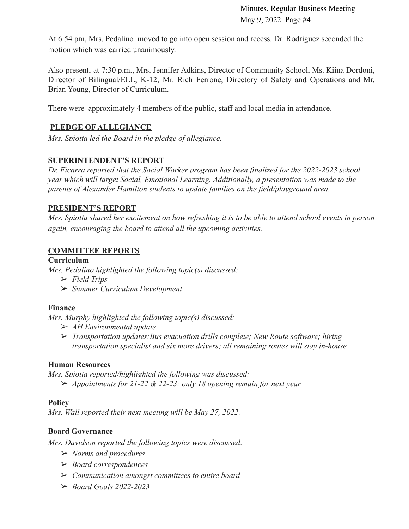At 6:54 pm, Mrs. Pedalino moved to go into open session and recess. Dr. Rodriguez seconded the motion which was carried unanimously.

Also present, at 7:30 p.m., Mrs. Jennifer Adkins, Director of Community School, Ms. Kiina Dordoni, Director of Bilingual/ELL, K-12, Mr. Rich Ferrone, Directory of Safety and Operations and Mr. Brian Young, Director of Curriculum.

There were approximately 4 members of the public, staff and local media in attendance.

# **PLEDGE OF ALLEGIANCE**

*Mrs. Spiotta led the Board in the pledge of allegiance.*

# **SUPERINTENDENT'S REPORT**

*Dr. Ficarra reported that the Social Worker program has been finalized for the 2022-2023 school year which will target Social, Emotional Learning. Additionally, a presentation was made to the parents of Alexander Hamilton students to update families on the field/playground area.*

## **PRESIDENT'S REPORT**

Mrs. Spiotta shared her excitement on how refreshing it is to be able to attend school events in person *again, encouraging the board to attend all the upcoming activities.*

# **COMMITTEE REPORTS**

## **Curriculum**

*Mrs. Pedalino highlighted the following topic(s) discussed:*

- ➢ *Field Trips*
- ➢ *Summer Curriculum Development*

# **Finance**

*Mrs. Murphy highlighted the following topic(s) discussed:*

- ➢ *AH Environmental update*
- ➢ *Transportation updates:Bus evacuation drills complete; New Route software; hiring transportation specialist and six more drivers; all remaining routes will stay in-house*

## **Human Resources**

*Mrs. Spiotta reported/highlighted the following was discussed:* ➢ *Appointments for 21-22 & 22-23; only 18 opening remain for next year*

# **Policy**

*Mrs. Wall reported their next meeting will be May 27, 2022.*

# **Board Governance**

*Mrs. Davidson reported the following topics were discussed:*

- ➢ *Norms and procedures*
- ➢ *Board correspondences*
- ➢ *Communication amongst committees to entire board*
- ➢ *Board Goals 2022-2023*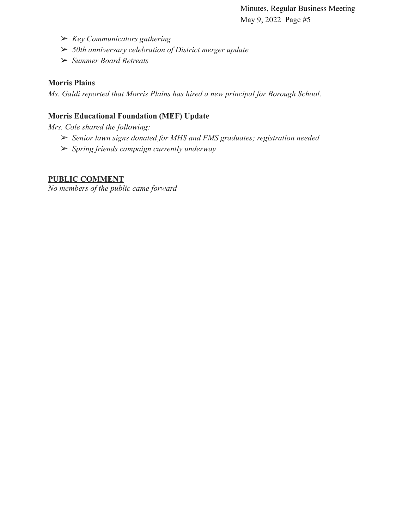- ➢ *Key Communicators gathering*
- ➢ *50th anniversary celebration of District merger update*
- ➢ *Summer Board Retreats*

## **Morris Plains**

*Ms. Galdi reported that Morris Plains has hired a new principal for Borough School.*

# **Morris Educational Foundation (MEF) Update**

*Mrs. Cole shared the following:*

- ➢ *Senior lawn signs donated for MHS and FMS graduates; registration needed*
- ➢ *Spring friends campaign currently underway*

# **PUBLIC COMMENT**

*No members of the public came forward*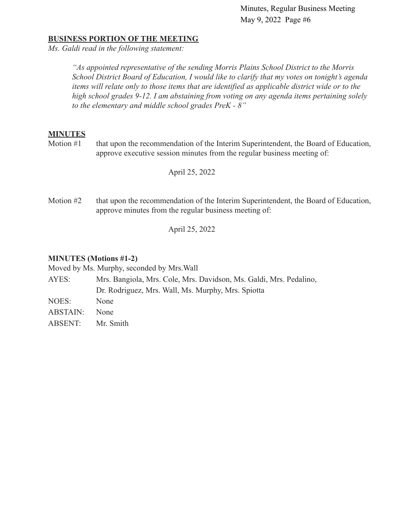## **BUSINESS PORTION OF THE MEETING**

*Ms. Galdi read in the following statement:*

*"As appointed representative of the sending Morris Plains School District to the Morris School District Board of Education, I would like to clarify that my votes on tonight's agenda items will relate only to those items that are identified as applicable district wide or to the high school grades 9-12. I am abstaining from voting on any agenda items pertaining solely to the elementary and middle school grades PreK - 8"*

## **MINUTES**

Motion #1 that upon the recommendation of the Interim Superintendent, the Board of Education, approve executive session minutes from the regular business meeting of:

April 25, 2022

Motion #2 that upon the recommendation of the Interim Superintendent, the Board of Education, approve minutes from the regular business meeting of:

April 25, 2022

## **MINUTES (Motions #1-2)**

|                 | Moved by Ms. Murphy, seconded by Mrs. Wall                         |
|-----------------|--------------------------------------------------------------------|
| AYES:           | Mrs. Bangiola, Mrs. Cole, Mrs. Davidson, Ms. Galdi, Mrs. Pedalino, |
|                 | Dr. Rodriguez, Mrs. Wall, Ms. Murphy, Mrs. Spiotta                 |
| NOES:           | None                                                               |
| <b>ABSTAIN:</b> | <b>None</b>                                                        |
| <b>ABSENT:</b>  | Mr. Smith                                                          |
|                 |                                                                    |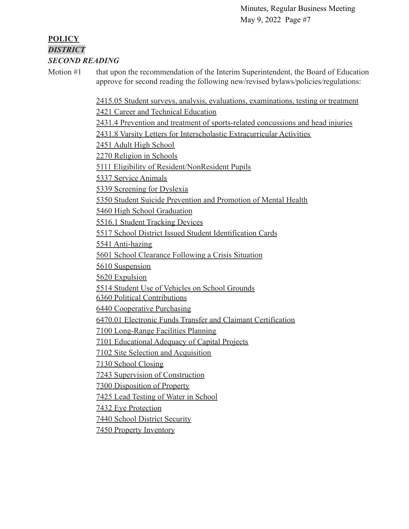## **POLICY** *DISTRICT SECOND READING*

Motion #1 that upon the recommendation of the Interim Superintendent, the Board of Education approve for second reading the following new/revised bylaws/policies/regulations:

[2415.05 Student surveys, analysis, evaluations, examinations, testing or treatment](https://docs.google.com/document/d/137gn3lVGXJeBsykUxIKXI6Z0CvRW0qoO/edit?usp=sharing&ouid=116999334560462810204&rtpof=true&sd=true)

[2421 Career and Technical Education](https://drive.google.com/file/d/10QZY2hlljX5P96LrBwVkmtP5UmS3uGeO/view?usp=sharing)

[2431.4 Prevention and treatment of sports-related concussions and head injuries](https://docs.google.com/document/d/1hnAutvBWPFqH3BDfYrmtHGgwxqp0C5ID/edit?usp=sharing&ouid=116999334560462810204&rtpof=true&sd=true)

[2431.8 Varsity Letters for Interscholastic Extracurricular Activities](https://drive.google.com/file/d/1nLnHppj7X_5WbBiR6dkekrthXKXkYG97/view?usp=sharing)

[2451 Adult High School](https://docs.google.com/document/d/1w1RHZjosXzmTC3wl9Ny76GPcIqKpG9iy/edit?usp=sharing&ouid=116999334560462810204&rtpof=true&sd=true)

[2270 Religion in Schools](https://drive.google.com/file/d/1EF4w2YPIM6u8ExnK-Vn80b14zpDd4M7k/view?usp=sharing)

[5111 Eligibility of Resident/NonResident Pupils](https://drive.google.com/file/d/11489mlO9FSx8TGTrJd5_eMjcIpKe1xCl/view?usp=sharing)

[5337 Service Animals](https://drive.google.com/file/d/1icbbOS2TnCg0NAg_aCOTRAz0HvM_t9CH/view?usp=sharing)

[5339 Screening for Dyslexia](https://drive.google.com/file/d/1BZRuF2yhDC3rm8iO96SHbUqYTIlkWOUb/view?usp=sharing)

[5350 Student Suicide Prevention and Promotion of Mental Health](https://docs.google.com/document/d/1aIW0DOF_7SICrgv41iWgagS0O1lumj-n/edit?usp=sharing&ouid=116999334560462810204&rtpof=true&sd=true)

[5460 High School Graduation](https://drive.google.com/file/d/1CC8jARyFXTJT8hAQajYNohcTAyasl9k2/view?usp=sharing)

[5516.1 Student Tracking Devices](https://drive.google.com/file/d/1kuD49RSaBi1M8CcXWWQsSneXYjaZjoAY/view?usp=sharing)

[5517 School District Issued Student Identification Cards](https://drive.google.com/file/d/1DjLtssvVAVP46H7cGf4JcfmbKdAFhIvD/view?usp=sharing)

[5541 Anti-hazing](https://drive.google.com/file/d/1mRNrU5tuqzqgTLTxqgN7OkWPNjXB_mRN/view?usp=sharing)

[5601 School Clearance Following a Crisis Situation](https://drive.google.com/file/d/1ess1zh0K_P_TRDTbYPzBAP1JEWchgRnX/view?usp=sharing)

[5610 Suspension](https://drive.google.com/file/d/1nGebrIJm3X_GQKDAf_sAz6m9zKvCFJsv/view?usp=sharing)

[5620 Expulsion](https://drive.google.com/file/d/17dEGZqBq3QNiKyPQluebZgD8O9cDrI2b/view?usp=sharing)

[5514 Student Use of Vehicles on School Grounds](https://drive.google.com/file/d/1rzB1nDh4nowsY5bU4lTg55MXntXj7rDu/view?usp=sharing)

[6360 Political Contributions](https://drive.google.com/file/d/15TyRUSWqTc8oyxGFTj3z9dGmMMTYFhKU/view?usp=sharing)

[6440 Cooperative Purchasing](https://drive.google.com/file/d/1CePq51sKdQblPniv6qFnurbLKkJEWp0t/view?usp=sharing)

[6470.01 Electronic Funds Transfer and Claimant Certification](https://drive.google.com/file/d/1b2pWaslzty9-rT7k8GkVrBYqo24WDAvD/view?usp=sharing)

[7100 Long-Range Facilities Planning](https://drive.google.com/file/d/1ikgOYg87ObPrVGn9cQ13v2Kg4Mf2QxNj/view?usp=sharing)

[7101 Educational Adequacy of Capital Projects](https://drive.google.com/file/d/1p_tavn4i-MaTwNGGNC-dfLHK8mgotMhF/view?usp=sharing)

[7102 Site Selection and Acquisition](https://drive.google.com/file/d/1kZG7PSGSYC-z4a3sbKwd6byiQIZa4_MS/view?usp=sharing)

[7130 School Closing](https://drive.google.com/file/d/1qpcD3ILVzGn9oZBbZsiHBeK7WDkVDWe6/view?usp=sharing)

[7243 Supervision of Construction](https://drive.google.com/file/d/1l1P9LrREjQUhfaxCzPTmlEbStDh9Gep8/view?usp=sharing)

[7300 Disposition of Property](https://drive.google.com/file/d/1t74jkrjbaenV31PpBPu5azqCOhlUZj__/view?usp=sharing)

[7425 Lead Testing of Water in School](https://drive.google.com/file/d/1y7fK_I41bJ-wfXW3xM0mXMt53559naXZ/view?usp=sharing)

[7432 Eye Protection](https://drive.google.com/file/d/1sr17OBd90kJxXKeLV_5igzveIaXJL0Fi/view?usp=sharing)

[7440 School District Security](https://drive.google.com/file/d/1BEiqbDTmTiJOVPfFapOgecPPEYevscJX/view?usp=sharing)

[7450 Property Inventory](https://drive.google.com/file/d/1tTPpeVJvNFQAgOce3VsBwnbvioW77dRg/view?usp=sharing)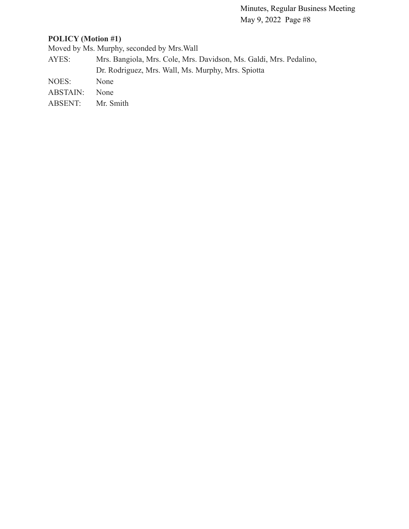# **POLICY (Motion #1)**

Moved by Ms. Murphy, seconded by Mrs.Wall

- AYES: Mrs. Bangiola, Mrs. Cole, Mrs. Davidson, Ms. Galdi, Mrs. Pedalino, Dr. Rodriguez, Mrs. Wall, Ms. Murphy, Mrs. Spiotta
- NOES: None
- ABSTAIN: None
- ABSENT: Mr. Smith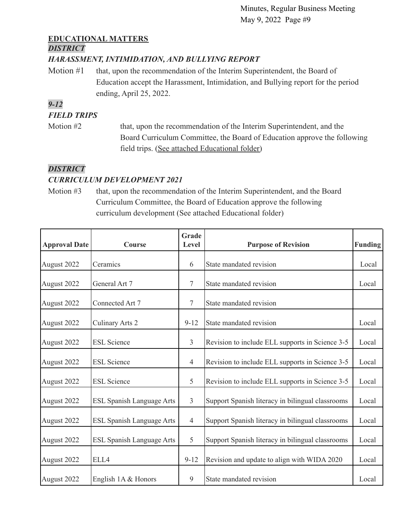# **EDUCATIONAL MATTERS**

# *DISTRICT*

# *HARASSMENT, INTIMIDATION, AND BULLYING REPORT*

Motion #1 that, upon the recommendation of the Interim Superintendent, the Board of Education accept the Harassment, Intimidation, and Bullying report for the period ending, April 25, 2022.

# *9-12*

# *FIELD TRIPS*

Motion #2 that, upon the recommendation of the Interim Superintendent, and the Board Curriculum Committee, the Board of Education approve the following field trips. [\(See attached Educational folder\)](https://drive.google.com/file/d/1GWWQm-O_MP-SGYzZolxVodAFEatCr0Rn/view?usp=sharing)

# *DISTRICT*

# *CURRICULUM DEVELOPMENT 2021*

Motion #3 that, upon the recommendation of the Interim Superintendent, and the Board Curriculum Committee, the Board of Education approve the following curriculum development (See attached Educational folder)

| <b>Approval Date</b> | <b>Course</b>                    | Grade<br>Level | <b>Purpose of Revision</b>                       | <b>Funding</b> |
|----------------------|----------------------------------|----------------|--------------------------------------------------|----------------|
| August 2022          | Ceramics                         | 6              | State mandated revision                          | Local          |
| August 2022          | General Art 7                    | 7              | State mandated revision                          | Local          |
| August 2022          | Connected Art 7                  | $\overline{7}$ | State mandated revision                          |                |
| August 2022          | Culinary Arts 2                  | $9 - 12$       | State mandated revision                          | Local          |
| August 2022          | <b>ESL Science</b>               | $\overline{3}$ | Revision to include ELL supports in Science 3-5  | Local          |
| August 2022          | <b>ESL Science</b>               |                | Revision to include ELL supports in Science 3-5  | Local          |
| August 2022          | <b>ESL</b> Science               | 5              | Revision to include ELL supports in Science 3-5  | Local          |
| August 2022          | <b>ESL Spanish Language Arts</b> | $\overline{3}$ | Support Spanish literacy in bilingual classrooms | Local          |
| August 2022          | <b>ESL Spanish Language Arts</b> | $\overline{4}$ | Support Spanish literacy in bilingual classrooms | Local          |
| August 2022          | ESL Spanish Language Arts        | 5              | Support Spanish literacy in bilingual classrooms | Local          |
| August 2022          | ELL4                             | $9 - 12$       | Revision and update to align with WIDA 2020      | Local          |
| August 2022          | English $1A &$ Honors            | 9              | State mandated revision                          | Local          |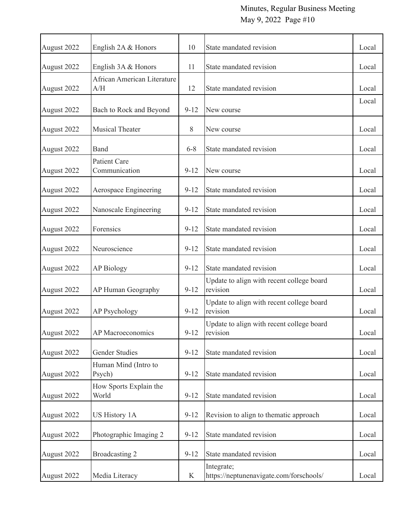| August 2022 | English 2A & Honors                  | 10       | State mandated revision                               |       |  |
|-------------|--------------------------------------|----------|-------------------------------------------------------|-------|--|
| August 2022 | English 3A & Honors                  | 11       | State mandated revision                               | Local |  |
| August 2022 | African American Literature<br>A/H   | 12       | State mandated revision                               | Local |  |
| August 2022 | Bach to Rock and Beyond              | $9 - 12$ | New course                                            | Local |  |
| August 2022 | <b>Musical Theater</b>               | 8        | New course                                            | Local |  |
| August 2022 | Band                                 | $6 - 8$  | State mandated revision                               | Local |  |
| August 2022 | <b>Patient Care</b><br>Communication | $9 - 12$ | New course                                            | Local |  |
| August 2022 | Aerospace Engineering                | $9 - 12$ | State mandated revision                               | Local |  |
| August 2022 | Nanoscale Engineering                | $9 - 12$ | State mandated revision                               | Local |  |
| August 2022 | Forensics                            | $9 - 12$ | State mandated revision                               | Local |  |
| August 2022 | Neuroscience                         | $9 - 12$ | State mandated revision                               | Local |  |
| August 2022 | <b>AP Biology</b>                    | $9 - 12$ | State mandated revision                               | Local |  |
| August 2022 | AP Human Geography                   | $9 - 12$ | Update to align with recent college board<br>revision | Local |  |
| August 2022 | <b>AP Psychology</b>                 |          | Update to align with recent college board<br>revision | Local |  |
| August 2022 | AP Macroeconomics                    | $9 - 12$ | Update to align with recent college board<br>revision | Local |  |
| August 2022 | <b>Gender Studies</b>                | $9 - 12$ | State mandated revision                               | Local |  |
| August 2022 | Human Mind (Intro to<br>Psych)       | $9 - 12$ | State mandated revision                               | Local |  |
| August 2022 | How Sports Explain the<br>World      | $9 - 12$ | State mandated revision                               |       |  |
| August 2022 | <b>US History 1A</b>                 | $9 - 12$ | Revision to align to thematic approach                | Local |  |
| August 2022 | Photographic Imaging 2               | $9 - 12$ | State mandated revision                               | Local |  |
| August 2022 | Broadcasting 2                       | $9 - 12$ | State mandated revision                               | Local |  |
| August 2022 | Media Literacy                       | K        | Integrate;<br>https://neptunenavigate.com/forschools/ | Local |  |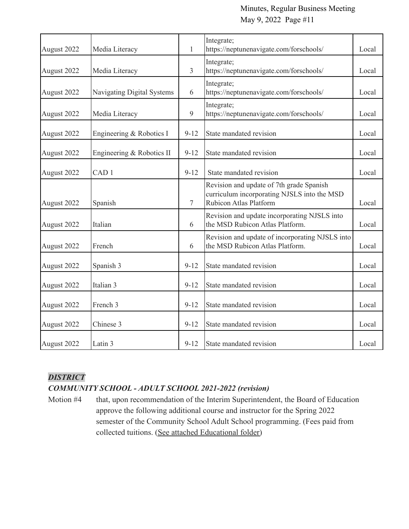| August 2022 | Media Literacy                    |                | Integrate;<br>https://neptunenavigate.com/forschools/                                                                    | Local |
|-------------|-----------------------------------|----------------|--------------------------------------------------------------------------------------------------------------------------|-------|
| August 2022 | Media Literacy                    | 3              | Integrate;<br>https://neptunenavigate.com/forschools/                                                                    | Local |
| August 2022 | <b>Navigating Digital Systems</b> | 6              | Integrate;<br>https://neptunenavigate.com/forschools/                                                                    | Local |
| August 2022 | Media Literacy                    | 9              | Integrate;<br>https://neptunenavigate.com/forschools/                                                                    | Local |
| August 2022 | Engineering & Robotics I          | $9 - 12$       | State mandated revision                                                                                                  | Local |
| August 2022 | Engineering & Robotics II         | $9 - 12$       | State mandated revision                                                                                                  | Local |
| August 2022 | CAD <sub>1</sub>                  | $9-12$         | State mandated revision                                                                                                  | Local |
| August 2022 | Spanish                           | $\overline{7}$ | Revision and update of 7th grade Spanish<br>curriculum incorporating NJSLS into the MSD<br><b>Rubicon Atlas Platform</b> | Local |
| August 2022 | Italian                           | 6              | Revision and update incorporating NJSLS into<br>the MSD Rubicon Atlas Platform.                                          |       |
| August 2022 | French                            | 6              | Revision and update of incorporating NJSLS into<br>the MSD Rubicon Atlas Platform.                                       |       |
| August 2022 | Spanish 3                         | $9 - 12$       | State mandated revision                                                                                                  | Local |
| August 2022 | Italian 3                         | $9 - 12$       | State mandated revision                                                                                                  |       |
| August 2022 | French 3                          | $9 - 12$       | State mandated revision                                                                                                  | Local |
| August 2022 | Chinese 3                         | $9 - 12$       | State mandated revision                                                                                                  | Local |
| August 2022 | Latin 3                           | $9 - 12$       | State mandated revision                                                                                                  | Local |

# *DISTRICT*

# *COMMUNITY SCHOOL - ADULT SCHOOL 2021-2022 (revision)*

Motion #4 that, upon recommendation of the Interim Superintendent, the Board of Education approve the following additional course and instructor for the Spring 2022 semester of the Community School Adult School programming. (Fees paid from collected tuitions. [\(See attached Educational folder\)](https://drive.google.com/file/d/1CFlpwuuOsrzlNcnZq8idIybZty8KUWDN/view?usp=sharing)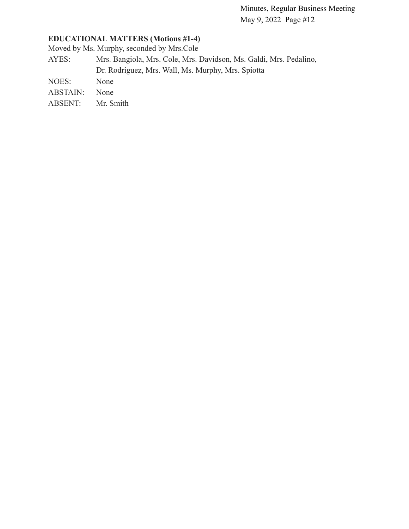# **EDUCATIONAL MATTERS (Motions #1-4)**

Moved by Ms. Murphy, seconded by Mrs.Cole

- AYES: Mrs. Bangiola, Mrs. Cole, Mrs. Davidson, Ms. Galdi, Mrs. Pedalino, Dr. Rodriguez, Mrs. Wall, Ms. Murphy, Mrs. Spiotta
- NOES: None
- ABSTAIN: None
- ABSENT: Mr. Smith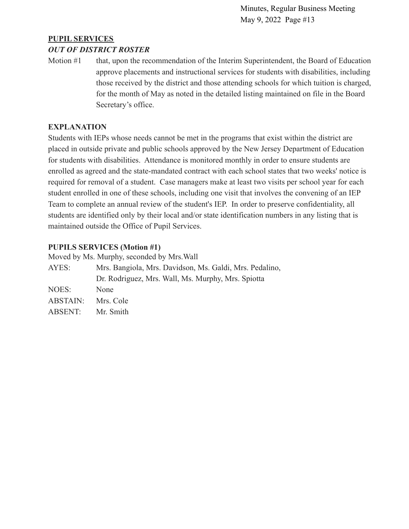# **PUPIL SERVICES**

## *OUT OF DISTRICT ROSTER*

Motion #1 that, upon the recommendation of the Interim Superintendent, the Board of Education approve placements and instructional services for students with disabilities, including those received by the district and those attending schools for which tuition is charged, for the month of May as noted in the detailed listing maintained on file in the Board Secretary's office.

## **EXPLANATION**

Students with IEPs whose needs cannot be met in the programs that exist within the district are placed in outside private and public schools approved by the New Jersey Department of Education for students with disabilities. Attendance is monitored monthly in order to ensure students are enrolled as agreed and the state-mandated contract with each school states that two weeks' notice is required for removal of a student. Case managers make at least two visits per school year for each student enrolled in one of these schools, including one visit that involves the convening of an IEP Team to complete an annual review of the student's IEP. In order to preserve confidentiality, all students are identified only by their local and/or state identification numbers in any listing that is maintained outside the Office of Pupil Services.

## **PUPILS SERVICES (Motion #1)**

|                                                                  | Moved by Ms. Murphy, seconded by Mrs. Wall         |  |  |  |
|------------------------------------------------------------------|----------------------------------------------------|--|--|--|
| Mrs. Bangiola, Mrs. Davidson, Ms. Galdi, Mrs. Pedalino,<br>AYES: |                                                    |  |  |  |
|                                                                  | Dr. Rodriguez, Mrs. Wall, Ms. Murphy, Mrs. Spiotta |  |  |  |
| NOES:                                                            | None                                               |  |  |  |
| ABSTAIN:                                                         | Mrs. Cole                                          |  |  |  |
| ABSENT:                                                          | Mr. Smith                                          |  |  |  |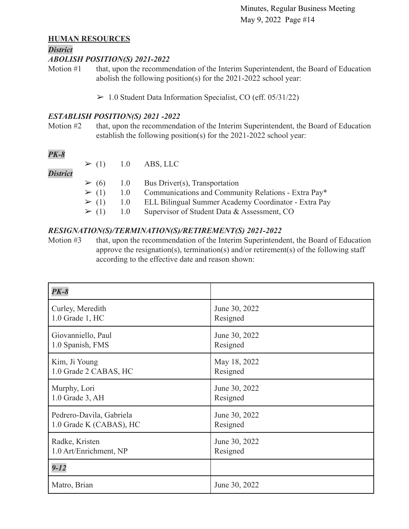## **HUMAN RESOURCES**

#### *District*

### *ABOLISH POSITION(S) 2021-2022*

Motion #1 that, upon the recommendation of the Interim Superintendent, the Board of Education abolish the following position(s) for the 2021-2022 school year:

 $> 1.0$  Student Data Information Specialist, CO (eff. 05/31/22)

## *ESTABLISH POSITION(S) 2021 -2022*

Motion #2 that, upon the recommendation of the Interim Superintendent, the Board of Education establish the following position(s) for the 2021-2022 school year:

# *PK-8*

|                 |  | $\geq$ (1) 1.0 ABS, LLC                                             |
|-----------------|--|---------------------------------------------------------------------|
| <b>District</b> |  |                                                                     |
|                 |  | $\geq$ (6) 1.0 Bus Driver(s), Transportation                        |
|                 |  | $\geq$ (1) 1.0 Communications and Community Relations - Extra Pay*  |
|                 |  | $\geq$ (1) 1.0 ELL Bilingual Summer Academy Coordinator - Extra Pay |
|                 |  | $\geq$ (1) 1.0 Supervisor of Student Data & Assessment, CO          |

## *RESIGNATION(S)/TERMINATION(S)/RETIREMENT(S) 2021-2022*

Motion #3 that, upon the recommendation of the Interim Superintendent, the Board of Education approve the resignation(s), termination(s) and/or retirement(s) of the following staff according to the effective date and reason shown:

| <b>PK-8</b>              |               |
|--------------------------|---------------|
| Curley, Meredith         | June 30, 2022 |
| 1.0 Grade 1, HC          | Resigned      |
| Giovanniello, Paul       | June 30, 2022 |
| 1.0 Spanish, FMS         | Resigned      |
| Kim, Ji Young            | May 18, 2022  |
| 1.0 Grade 2 CABAS, HC    | Resigned      |
| Murphy, Lori             | June 30, 2022 |
| 1.0 Grade 3, AH          | Resigned      |
| Pedrero-Davila, Gabriela | June 30, 2022 |
| 1.0 Grade K (CABAS), HC  | Resigned      |
| Radke, Kristen           | June 30, 2022 |
| 1.0 Art/Enrichment, NP   | Resigned      |
| $9 - 12$                 |               |
| Matro, Brian             | June 30, 2022 |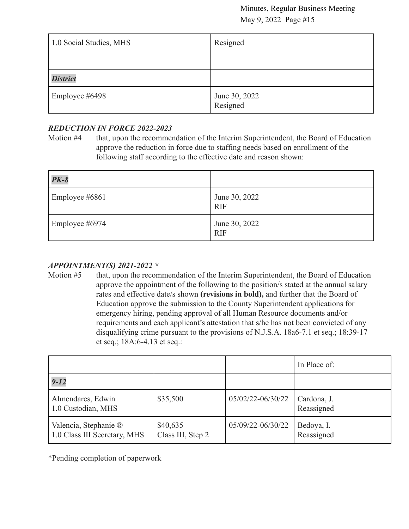| 1.0 Social Studies, MHS | Resigned                  |
|-------------------------|---------------------------|
|                         |                           |
| <b>District</b>         |                           |
| Employee #6498          | June 30, 2022<br>Resigned |

# *REDUCTION IN FORCE 2022-2023*

Motion #4 that, upon the recommendation of the Interim Superintendent, the Board of Education approve the reduction in force due to staffing needs based on enrollment of the following staff according to the effective date and reason shown:

| $PK-8$         |                             |
|----------------|-----------------------------|
| Employee #6861 | June 30, 2022<br><b>RIF</b> |
| Employee #6974 | June 30, 2022<br><b>RIF</b> |

# *APPOINTMENT(S) 2021-2022 \**

Motion #5 that, upon the recommendation of the Interim Superintendent, the Board of Education approve the appointment of the following to the position/s stated at the annual salary rates and effective date/s shown **(revisions in bold),** and further that the Board of Education approve the submission to the County Superintendent applications for emergency hiring, pending approval of all Human Resource documents and/or requirements and each applicant's attestation that s/he has not been convicted of any disqualifying crime pursuant to the provisions of N.J.S.A. 18a6-7.1 et seq.; 18:39-17 et seq.; 18A:6-4.13 et seq.:

|                                                       |                               |                   | In Place of:              |
|-------------------------------------------------------|-------------------------------|-------------------|---------------------------|
| $9 - 12$                                              |                               |                   |                           |
| Almendares, Edwin<br>1.0 Custodian, MHS               | \$35,500                      | 05/02/22-06/30/22 | Cardona, J.<br>Reassigned |
| Valencia, Stephanie ®<br>1.0 Class III Secretary, MHS | \$40,635<br>Class III, Step 2 | 05/09/22-06/30/22 | Bedoya, I.<br>Reassigned  |

\*Pending completion of paperwork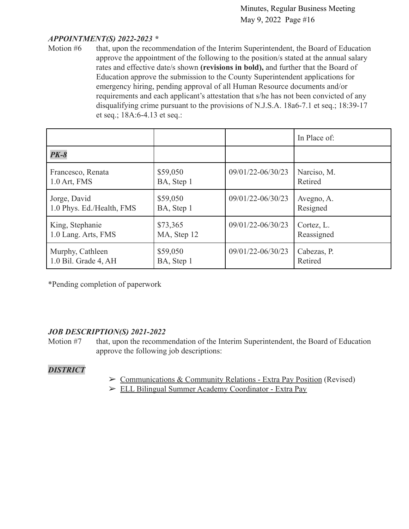## *APPOINTMENT(S) 2022-2023 \**

Motion #6 that, upon the recommendation of the Interim Superintendent, the Board of Education approve the appointment of the following to the position/s stated at the annual salary rates and effective date/s shown **(revisions in bold),** and further that the Board of Education approve the submission to the County Superintendent applications for emergency hiring, pending approval of all Human Resource documents and/or requirements and each applicant's attestation that s/he has not been convicted of any disqualifying crime pursuant to the provisions of N.J.S.A. 18a6-7.1 et seq.; 18:39-17 et seq.; 18A:6-4.13 et seq.:

|                           |             |                   | In Place of: |
|---------------------------|-------------|-------------------|--------------|
| $PK-8$                    |             |                   |              |
| Francesco, Renata         | \$59,050    | 09/01/22-06/30/23 | Narciso, M.  |
| 1.0 Art, FMS              | BA, Step 1  |                   | Retired      |
| Jorge, David              | \$59,050    | 09/01/22-06/30/23 | Avegno, A.   |
| 1.0 Phys. Ed./Health, FMS | BA, Step 1  |                   | Resigned     |
| King, Stephanie           | \$73,365    | 09/01/22-06/30/23 | Cortez, L.   |
| 1.0 Lang. Arts, FMS       | MA, Step 12 |                   | Reassigned   |
| Murphy, Cathleen          | \$59,050    | 09/01/22-06/30/23 | Cabezas, P.  |
| 1.0 Bil. Grade 4, AH      | BA, Step 1  |                   | Retired      |

\*Pending completion of paperwork

## *JOB DESCRIPTION(S) 2021-2022*

Motion #7 that, upon the recommendation of the Interim Superintendent, the Board of Education approve the following job descriptions:

## *DISTRICT*

- ➢ [Communications & Community Relations Extra Pay Position](https://drive.google.com/file/d/1euqZ0ie2yxktY0Be3X3O7rGzAFIcll1r/view?usp=sharing9orgGNDMFM4a22/view?usp=sharing) (Revised)
- ➢ [ELL Bilingual Summer Academy Coordinator Extra Pay](https://drive.google.com/file/d/1tCmeB79XN2waHfqLGTqve9VJbEVrZiFZ/view?usp=sharing)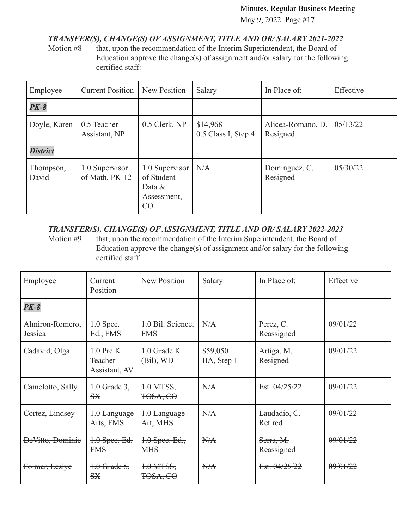# *TRANSFER(S), CHANGE(S) OF ASSIGNMENT, TITLE AND OR/ SALARY 2021-2022*

Motion #8 that, upon the recommendation of the Interim Superintendent, the Board of Education approve the change(s) of assignment and/or salary for the following certified staff:

| Employee           | <b>Current Position</b>          | New Position                                                   | Salary                          | In Place of:                  | Effective |
|--------------------|----------------------------------|----------------------------------------------------------------|---------------------------------|-------------------------------|-----------|
| $PK-8$             |                                  |                                                                |                                 |                               |           |
| Doyle, Karen       | 0.5 Teacher<br>Assistant, NP     | 0.5 Clerk, NP                                                  | \$14,968<br>0.5 Class I, Step 4 | Alicea-Romano, D.<br>Resigned | 05/13/22  |
| <b>District</b>    |                                  |                                                                |                                 |                               |           |
| Thompson,<br>David | 1.0 Supervisor<br>of Math, PK-12 | 1.0 Supervisor<br>of Student<br>Data $\&$<br>Assessment,<br>CO | N/A                             | Dominguez, C.<br>Resigned     | 05/30/22  |

# *TRANSFER(S), CHANGE(S) OF ASSIGNMENT, TITLE AND OR/ SALARY 2022-2023*

Motion #9 that, upon the recommendation of the Interim Superintendent, the Board of Education approve the change(s) of assignment and/or salary for the following certified staff:

| Employee                   | Current<br>Position                     | <b>New Position</b>             | Salary                 | In Place of:            | Effective |
|----------------------------|-----------------------------------------|---------------------------------|------------------------|-------------------------|-----------|
| $PK-8$                     |                                         |                                 |                        |                         |           |
| Almiron-Romero,<br>Jessica | $1.0$ Spec.<br>Ed., FMS                 | 1.0 Bil. Science,<br><b>FMS</b> | N/A                    | Perez, C.<br>Reassigned | 09/01/22  |
| Cadavid, Olga              | $1.0$ Pre K<br>Teacher<br>Assistant, AV | $1.0$ Grade K<br>$(Bil)$ , WD   | \$59,050<br>BA, Step 1 | Artiga, M.<br>Resigned  | 09/01/22  |
| Camelotto, Sally           | $+0$ Grade 3,<br>S X                    | $1.0$ MTSS,<br>TOSA, CO         | H/A                    | Est. 04/25/22           | 09/01/22  |
| Cortez, Lindsey            | 1.0 Language<br>Arts, FMS               | 1.0 Language<br>Art, MHS        | N/A                    | Laudadio, C.<br>Retired | 09/01/22  |
| DeVitto, Dominie           | 1.0 Spee. Ed.<br><b>FMS</b>             | $4.0$ Spee. Ed.,<br><b>MHS</b>  | N/A                    | Serra, M.<br>Reassigned | 09/01/22  |
| Folmar, Leslye             | $+0$ Grade 5,<br><b>SX</b>              | $1.0$ MTSS,<br>TOSA, CO         | H/A                    | Est. 04/25/22           | 09/01/22  |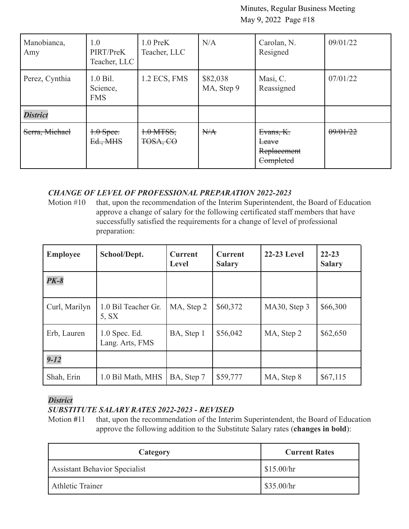| Manobianca,<br>Amy | 1.0<br>PIRT/PreK<br>Teacher, LLC     | $1.0$ PreK<br>Teacher, LLC | N/A                    | Carolan, N.<br>Resigned                        | 09/01/22 |
|--------------------|--------------------------------------|----------------------------|------------------------|------------------------------------------------|----------|
| Perez, Cynthia     | $1.0$ Bil.<br>Science,<br><b>FMS</b> | 1.2 ECS, FMS               | \$82,038<br>MA, Step 9 | Masi, C.<br>Reassigned                         | 07/01/22 |
| <b>District</b>    |                                      |                            |                        |                                                |          |
| Serra, Michael     | $+0$ Spee.<br>Ed., MHS               | $+0$ MTSS,<br>TOSA, CO     | H/A                    | Evans, K.<br>Leave<br>Replacement<br>Completed | 09/01/22 |

## *CHANGE OF LEVEL OF PROFESSIONAL PREPARATION 2022-2023*

Motion #10 that, upon the recommendation of the Interim Superintendent, the Board of Education approve a change of salary for the following certificated staff members that have successfully satisfied the requirements for a change of level of professional preparation:

| <b>Employee</b> | School/Dept.                       | <b>Current</b><br>Level | <b>Current</b><br><b>Salary</b> | <b>22-23 Level</b> | $22 - 23$<br><b>Salary</b> |
|-----------------|------------------------------------|-------------------------|---------------------------------|--------------------|----------------------------|
| $PK-8$          |                                    |                         |                                 |                    |                            |
| Curl, Marilyn   | 1.0 Bil Teacher Gr.<br>5. SX       | MA, Step 2              | \$60,372                        | MA30, Step 3       | \$66,300                   |
| Erb, Lauren     | $1.0$ Spec. Ed.<br>Lang. Arts, FMS | BA, Step 1              | \$56,042                        | MA, Step 2         | \$62,650                   |
| $9 - 12$        |                                    |                         |                                 |                    |                            |
| Shah, Erin      | 1.0 Bil Math, MHS                  | BA, Step 7              | \$59,777                        | MA, Step 8         | \$67,115                   |

## *District*

# *SUBSTITUTE SALARY RATES 2022-2023 - REVISED*

Motion #11 that, upon the recommendation of the Interim Superintendent, the Board of Education approve the following addition to the Substitute Salary rates (**changes in bold**):

| Category                             | <b>Current Rates</b> |
|--------------------------------------|----------------------|
| <b>Assistant Behavior Specialist</b> | \$15.00/hr           |
| <b>Athletic Trainer</b>              | \$35.00/hr           |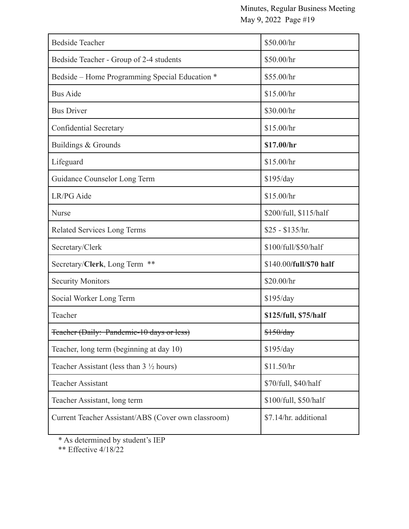| <b>Bedside Teacher</b>                              | \$50.00/hr              |
|-----------------------------------------------------|-------------------------|
| Bedside Teacher - Group of 2-4 students             | \$50.00/hr              |
| Bedside – Home Programming Special Education *      | \$55.00/hr              |
| <b>Bus Aide</b>                                     | \$15.00/hr              |
| <b>Bus Driver</b>                                   | \$30.00/hr              |
| <b>Confidential Secretary</b>                       | \$15.00/hr              |
| Buildings & Grounds                                 | \$17.00/hr              |
| Lifeguard                                           | \$15.00/hr              |
| Guidance Counselor Long Term                        | \$195/day               |
| LR/PG Aide                                          | \$15.00/hr              |
| <b>Nurse</b>                                        | \$200/full, \$115/half  |
| <b>Related Services Long Terms</b>                  | $$25 - $135/hr$ .       |
| Secretary/Clerk                                     | \$100/full/\$50/half    |
| Secretary/Clerk, Long Term **                       | \$140.00/full/\$70 half |
| <b>Security Monitors</b>                            | \$20.00/hr              |
| Social Worker Long Term                             | \$195/day               |
| Teacher                                             | \$125/full, \$75/half   |
| Feacher (Daily: Pandemic-10 days or less)           | \$150/day               |
| Teacher, long term (beginning at day 10)            | \$195/day               |
| Teacher Assistant (less than $3\frac{1}{2}$ hours)  | \$11.50/hr              |
| <b>Teacher Assistant</b>                            | \$70/full, \$40/half    |
| Teacher Assistant, long term                        | \$100/full, \$50/half   |
| Current Teacher Assistant/ABS (Cover own classroom) | \$7.14/hr. additional   |

\* As determined by student's IEP

\*\* Effective 4/18/22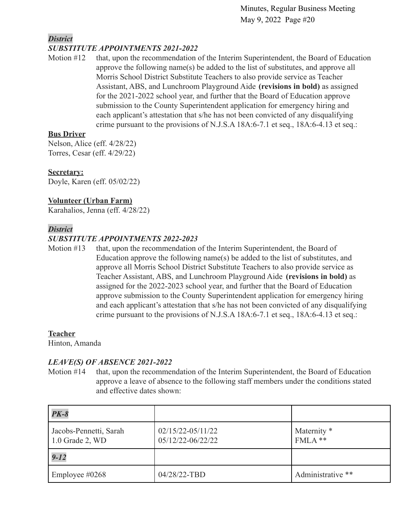# *District*

## *SUBSTITUTE APPOINTMENTS 2021-2022*

Motion #12 that, upon the recommendation of the Interim Superintendent, the Board of Education approve the following name(s) be added to the list of substitutes, and approve all Morris School District Substitute Teachers to also provide service as Teacher Assistant, ABS, and Lunchroom Playground Aide **(revisions in bold)** as assigned for the 2021-2022 school year, and further that the Board of Education approve submission to the County Superintendent application for emergency hiring and each applicant's attestation that s/he has not been convicted of any disqualifying crime pursuant to the provisions of N.J.S.A 18A:6-7.1 et seq., 18A:6-4.13 et seq.:

## **Bus Driver**

Nelson, Alice (eff. 4/28/22) Torres, Cesar (eff. 4/29/22)

## **Secretary:**

Doyle, Karen (eff. 05/02/22)

## **Volunteer (Urban Farm)**

Karahalios, Jenna (eff. 4/28/22)

## *District*

# *SUBSTITUTE APPOINTMENTS 2022-2023*

Motion #13 that, upon the recommendation of the Interim Superintendent, the Board of Education approve the following name(s) be added to the list of substitutes, and approve all Morris School District Substitute Teachers to also provide service as Teacher Assistant, ABS, and Lunchroom Playground Aide **(revisions in bold)** as assigned for the 2022-2023 school year, and further that the Board of Education approve submission to the County Superintendent application for emergency hiring and each applicant's attestation that s/he has not been convicted of any disqualifying crime pursuant to the provisions of N.J.S.A 18A:6-7.1 et seq., 18A:6-4.13 et seq.:

## **Teacher**

Hinton, Amanda

## *LEAVE(S) OF ABSENCE 2021-2022*

Motion #14 that, upon the recommendation of the Interim Superintendent, the Board of Education approve a leave of absence to the following staff members under the conditions stated and effective dates shown:

| $PK-8$                                    |                                            |                          |
|-------------------------------------------|--------------------------------------------|--------------------------|
| Jacobs-Pennetti, Sarah<br>1.0 Grade 2, WD | $02/15/22 - 05/11/22$<br>05/12/22-06/22/22 | Maternity *<br>$FMLA$ ** |
| $9 - 12$                                  |                                            |                          |
| Employee $\#0268$                         | 04/28/22-TBD                               | Administrative **        |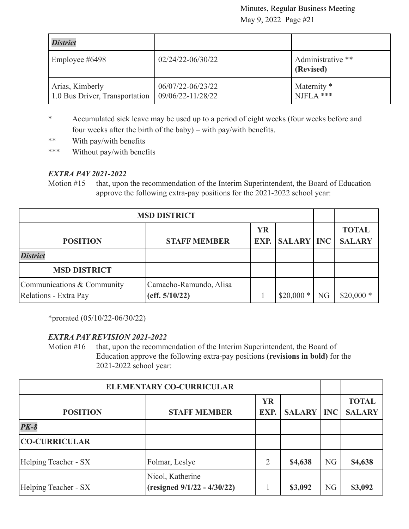| <b>District</b>                                   |                                        |                                |
|---------------------------------------------------|----------------------------------------|--------------------------------|
| Employee #6498                                    | $02/24/22 - 06/30/22$                  | Administrative **<br>(Revised) |
| Arias, Kimberly<br>1.0 Bus Driver, Transportation | 06/07/22-06/23/22<br>09/06/22-11/28/22 | Maternity *<br>NJFLA ***       |

- \* Accumulated sick leave may be used up to a period of eight weeks (four weeks before and four weeks after the birth of the baby) – with pay/with benefits.
- \*\* With pay/with benefits
- \*\*\* Without pay/with benefits

# *EXTRA PAY 2021-2022*

Motion #15 that, upon the recommendation of the Interim Superintendent, the Board of Education approve the following extra-pay positions for the 2021-2022 school year:

| <b>MSD DISTRICT</b>                                 |                                          |           |                       |    |                               |
|-----------------------------------------------------|------------------------------------------|-----------|-----------------------|----|-------------------------------|
| <b>POSITION</b>                                     | <b>STAFF MEMBER</b>                      | <b>YR</b> | <b>EXP.</b> SALARY NC |    | <b>TOTAL</b><br><b>SALARY</b> |
| <b>District</b>                                     |                                          |           |                       |    |                               |
| <b>MSD DISTRICT</b>                                 |                                          |           |                       |    |                               |
| Communications & Community<br>Relations - Extra Pay | Camacho-Ramundo, Alisa<br>(eff. 5/10/22) |           | $$20,000*$            | NG | $$20,000*$                    |

\*prorated (05/10/22-06/30/22)

# *EXTRA PAY REVISION 2021-2022*

Motion #16 that, upon the recommendation of the Interim Superintendent, the Board of Education approve the following extra-pay positions **(revisions in bold)** for the 2021-2022 school year:

| <b>ELEMENTARY CO-CURRICULAR</b> |                                                 |                   |               |            |                               |
|---------------------------------|-------------------------------------------------|-------------------|---------------|------------|-------------------------------|
| <b>POSITION</b>                 | <b>STAFF MEMBER</b>                             | <b>YR</b><br>EXP. | <b>SALARY</b> | <b>INC</b> | <b>TOTAL</b><br><b>SALARY</b> |
| $PK-8$                          |                                                 |                   |               |            |                               |
| <b>CO-CURRICULAR</b>            |                                                 |                   |               |            |                               |
| Helping Teacher - SX            | Folmar, Leslye                                  | 2                 | \$4,638       | <b>NG</b>  | \$4,638                       |
| Helping Teacher - SX            | Nicol, Katherine<br>(resigned 9/1/22 - 4/30/22) |                   | \$3,092       | <b>NG</b>  | \$3,092                       |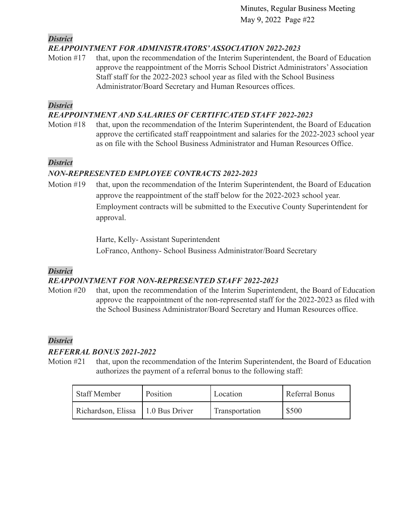*District*

# *REAPPOINTMENT FOR ADMINISTRATORS'ASSOCIATION 2022-2023*

Motion #17 that, upon the recommendation of the Interim Superintendent, the Board of Education approve the reappointment of the Morris School District Administrators'Association Staff staff for the 2022-2023 school year as filed with the School Business Administrator/Board Secretary and Human Resources offices.

## *District*

# *REAPPOINTMENT AND SALARIES OF CERTIFICATED STAFF 2022-2023*

Motion #18 that, upon the recommendation of the Interim Superintendent, the Board of Education approve the certificated staff reappointment and salaries for the 2022-2023 school year as on file with the School Business Administrator and Human Resources Office.

# *District*

# *NON-REPRESENTED EMPLOYEE CONTRACTS 2022-2023*

Motion #19 that, upon the recommendation of the Interim Superintendent, the Board of Education approve the reappointment of the staff below for the 2022-2023 school year. Employment contracts will be submitted to the Executive County Superintendent for approval.

> Harte, Kelly- Assistant Superintendent LoFranco, Anthony- School Business Administrator/Board Secretary

## *District*

# *REAPPOINTMENT FOR NON-REPRESENTED STAFF 2022-2023*

Motion #20 that, upon the recommendation of the Interim Superintendent, the Board of Education approve the reappointment of the non-represented staff for the 2022-2023 as filed with the School Business Administrator/Board Secretary and Human Resources office.

# *District*

# *REFERRAL BONUS 2021-2022*

Motion #21 that, upon the recommendation of the Interim Superintendent, the Board of Education authorizes the payment of a referral bonus to the following staff:

| Staff Member       | Position       | Location       | Referral Bonus |
|--------------------|----------------|----------------|----------------|
| Richardson, Elissa | 1.0 Bus Driver | Transportation | \$500          |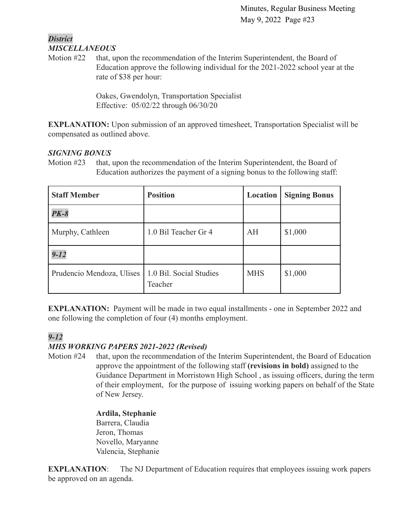## *District MISCELLANEOUS*

Motion #22 that, upon the recommendation of the Interim Superintendent, the Board of Education approve the following individual for the 2021-2022 school year at the rate of \$38 per hour:

> Oakes, Gwendolyn, Transportation Specialist Effective: 05/02/22 through 06/30/20

**EXPLANATION:** Upon submission of an approved timesheet, Transportation Specialist will be compensated as outlined above.

# *SIGNING BONUS*

Motion #23 that, upon the recommendation of the Interim Superintendent, the Board of Education authorizes the payment of a signing bonus to the following staff:

| <b>Staff Member</b>       | <b>Position</b>                    | Location   | <b>Signing Bonus</b> |
|---------------------------|------------------------------------|------------|----------------------|
| <b>PK-8</b>               |                                    |            |                      |
| Murphy, Cathleen          | 1.0 Bil Teacher Gr 4               | AH         | \$1,000              |
| $9 - 12$                  |                                    |            |                      |
| Prudencio Mendoza, Ulises | 1.0 Bil. Social Studies<br>Teacher | <b>MHS</b> | \$1,000              |

**EXPLANATION:** Payment will be made in two equal installments - one in September 2022 and one following the completion of four (4) months employment.

# *9-12*

# *MHS WORKING PAPERS 2021-2022 (Revised)*

Motion #24 that, upon the recommendation of the Interim Superintendent, the Board of Education approve the appointment of the following staff **(revisions in bold)** assigned to the Guidance Department in Morristown High School , as issuing officers, during the term of their employment, for the purpose of issuing working papers on behalf of the State of New Jersey.

### **Ardila, Stephanie** Barrera, Claudia Jeron, Thomas Novello, Maryanne Valencia, Stephanie

**EXPLANATION:** The NJ Department of Education requires that employees issuing work papers be approved on an agenda.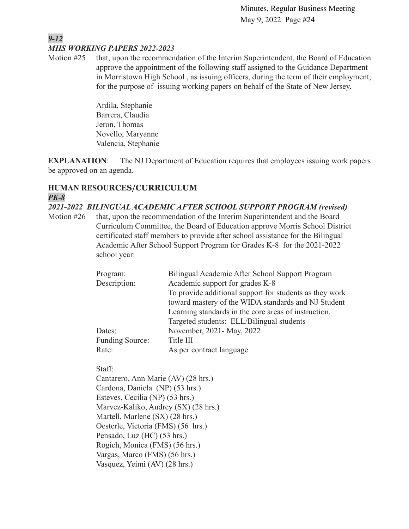## *9-12 MHS WORKING PAPERS 2022-2023*

Motion #25 that, upon the recommendation of the Interim Superintendent, the Board of Education approve the appointment of the following staff assigned to the Guidance Department in Morristown High School , as issuing officers, during the term of their employment, for the purpose of issuing working papers on behalf of the State of New Jersey.

> Ardila, Stephanie Barrera, Claudia Jeron, Thomas Novello, Maryanne Valencia, Stephanie

**EXPLANATION:** The NJ Department of Education requires that employees issuing work papers be approved on an agenda.

# **HUMAN RESOURCES/CURRICULUM** *PK-8*

*2021-2022 BILINGUAL ACADEMIC AFTER SCHOOL SUPPORT PROGRAM (revised)*

Motion #26 that, upon the recommendation of the Interim Superintendent and the Board Curriculum Committee, the Board of Education approve Morris School District certificated staff members to provide after school assistance for the Bilingual Academic After School Support Program for Grades K-8 for the 2021-2022 school year:

| Program:               | Bilingual Academic After School Support Program         |  |  |
|------------------------|---------------------------------------------------------|--|--|
| Description:           | Academic support for grades K-8                         |  |  |
|                        | To provide additional support for students as they work |  |  |
|                        | toward mastery of the WIDA standards and NJ Student     |  |  |
|                        | Learning standards in the core areas of instruction.    |  |  |
|                        | Targeted students: ELL/Bilingual students               |  |  |
| Dates:                 | November, 2021 - May, 2022                              |  |  |
| <b>Funding Source:</b> | Title III                                               |  |  |
| Rate:                  | As per contract language                                |  |  |

Staff:

Cantarero, Ann Marie (AV) (28 hrs.) Cardona, Daniela (NP) (53 hrs.) Esteves, Cecilia (NP) (53 hrs.) Marvez-Kaliko, Audrey (SX) (28 hrs.) Martell, Marlene (SX) (28 hrs.) Oesterle, Victoria (FMS) (56 hrs.) Pensado, Luz (HC) (53 hrs.) Rogich, Monica (FMS) (56 hrs.) Vargas, Marco (FMS) (56 hrs.) Vasquez, Yeimi (AV) (28 hrs.)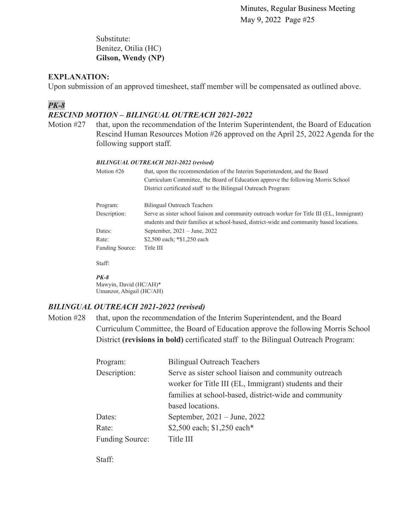Substitute: Benitez, Otilia (HC) **Gilson, Wendy (NP)**

## **EXPLANATION:**

Upon submission of an approved timesheet, staff member will be compensated as outlined above.

## *PK-8*

## *RESCIND MOTION – BILINGUAL OUTREACH 2021-2022*

Motion #27 that, upon the recommendation of the Interim Superintendent, the Board of Education Rescind Human Resources Motion #26 approved on the April 25, 2022 Agenda for the following support staff.

#### *BILINGUAL OUTREACH 2021-2022 (revised)*

| Motion $#26$    | that, upon the recommendation of the Interim Superintendent, and the Board<br>Curriculum Committee, the Board of Education approve the following Morris School<br>District certificated staff to the Bilingual Outreach Program: |  |  |
|-----------------|----------------------------------------------------------------------------------------------------------------------------------------------------------------------------------------------------------------------------------|--|--|
| Program:        | <b>Bilingual Outreach Teachers</b>                                                                                                                                                                                               |  |  |
| Description:    | Serve as sister school liaison and community outreach worker for Title III (EL, Immigrant)<br>students and their families at school-based, district-wide and community based locations.                                          |  |  |
| Dates:          | September, $2021 - June$ , $2022$                                                                                                                                                                                                |  |  |
| Rate:           | \$2,500 each; *\$1,250 each                                                                                                                                                                                                      |  |  |
| Funding Source: | Title III                                                                                                                                                                                                                        |  |  |

Staff:

#### *PK-8*

Mawyin, David (HC/AH)\* Umanzor, Abigail (HC/AH)

#### *BILINGUAL OUTREACH 2021-2022 (revised)*

Motion #28 that, upon the recommendation of the Interim Superintendent, and the Board Curriculum Committee, the Board of Education approve the following Morris School District **(revisions in bold)** certificated staff to the Bilingual Outreach Program:

| Program:               | <b>Bilingual Outreach Teachers</b>                      |  |  |
|------------------------|---------------------------------------------------------|--|--|
| Description:           | Serve as sister school liaison and community outreach   |  |  |
|                        | worker for Title III (EL, Immigrant) students and their |  |  |
|                        | families at school-based, district-wide and community   |  |  |
|                        | based locations.                                        |  |  |
| Dates:                 | September, 2021 – June, 2022                            |  |  |
| Rate:                  | \$2,500 each; \$1,250 each*                             |  |  |
| <b>Funding Source:</b> | Title III                                               |  |  |

Staff: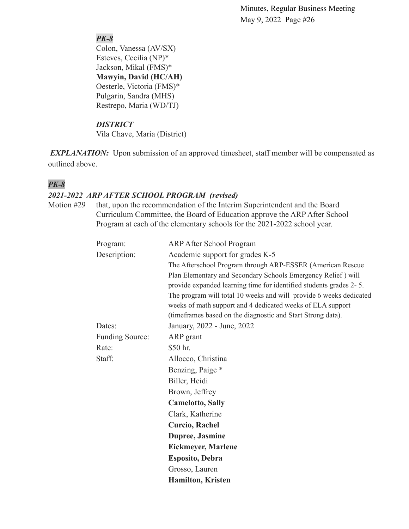# *PK-8*

Colon, Vanessa (AV/SX) Esteves, Cecilia (NP)\* Jackson, Mikal (FMS)\* **Mawyin, David (HC/AH)** Oesterle, Victoria (FMS)\* Pulgarin, Sandra (MHS) Restrepo, Maria (WD/TJ)

# *DISTRICT*

Vila Chave, Maria (District)

*EXPLANATION:* Upon submission of an approved timesheet, staff member will be compensated as outlined above.

# *PK-8*

# *2021-2022 ARP AFTER SCHOOL PROGRAM (revised)*

Motion #29 that, upon the recommendation of the Interim Superintendent and the Board Curriculum Committee, the Board of Education approve the ARP After School Program at each of the elementary schools for the 2021-2022 school year.

| Program:               | <b>ARP After School Program</b>                                    |  |  |  |
|------------------------|--------------------------------------------------------------------|--|--|--|
| Description:           | Academic support for grades K-5                                    |  |  |  |
|                        | The Afterschool Program through ARP-ESSER (American Rescue         |  |  |  |
|                        | Plan Elementary and Secondary Schools Emergency Relief) will       |  |  |  |
|                        | provide expanded learning time for identified students grades 2-5. |  |  |  |
|                        | The program will total 10 weeks and will provide 6 weeks dedicated |  |  |  |
|                        | weeks of math support and 4 dedicated weeks of ELA support         |  |  |  |
|                        | (timeframes based on the diagnostic and Start Strong data).        |  |  |  |
| Dates:                 | January, 2022 - June, 2022                                         |  |  |  |
| <b>Funding Source:</b> | ARP grant                                                          |  |  |  |
| Rate:                  | \$50 hr.                                                           |  |  |  |
| Staff:                 | Allocco, Christina                                                 |  |  |  |
|                        | Benzing, Paige *                                                   |  |  |  |
|                        | Biller, Heidi                                                      |  |  |  |
|                        | Brown, Jeffrey                                                     |  |  |  |
|                        | <b>Camelotto, Sally</b>                                            |  |  |  |
|                        | Clark, Katherine                                                   |  |  |  |
|                        | <b>Curcio, Rachel</b>                                              |  |  |  |
|                        | Dupree, Jasmine                                                    |  |  |  |
|                        | <b>Eickmeyer, Marlene</b>                                          |  |  |  |
|                        | <b>Esposito, Debra</b>                                             |  |  |  |
|                        | Grosso, Lauren                                                     |  |  |  |
|                        | <b>Hamilton, Kristen</b>                                           |  |  |  |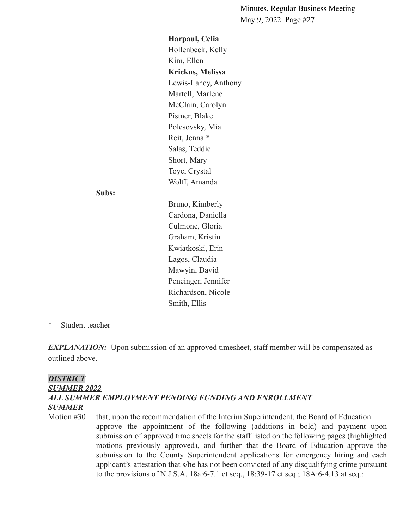**Harpaul, Celia** Hollenbeck, Kelly Kim, Ellen **Krickus, Melissa** Lewis-Lahey, Anthony Martell, Marlene McClain, Carolyn Pistner, Blake Polesovsky, Mia Reit, Jenna \* Salas, Teddie Short, Mary Toye, Crystal Wolff, Amanda

#### **Subs:**

Bruno, Kimberly Cardona, Daniella Culmone, Gloria Graham, Kristin Kwiatkoski, Erin Lagos, Claudia Mawyin, David Pencinger, Jennifer Richardson, Nicole Smith, Ellis

#### \* - Student teacher

*EXPLANATION:* Upon submission of an approved timesheet, staff member will be compensated as outlined above.

# *DISTRICT SUMMER 2022 ALL SUMMER EMPLOYMENT PENDING FUNDING AND ENROLLMENT SUMMER*

Motion #30 that, upon the recommendation of the Interim Superintendent, the Board of Education approve the appointment of the following (additions in bold) and payment upon submission of approved time sheets for the staff listed on the following pages (highlighted motions previously approved), and further that the Board of Education approve the submission to the County Superintendent applications for emergency hiring and each applicant's attestation that s/he has not been convicted of any disqualifying crime pursuant to the provisions of N.J.S.A. 18a:6-7.1 et seq., 18:39-17 et seq.; 18A:6-4.13 at seq.: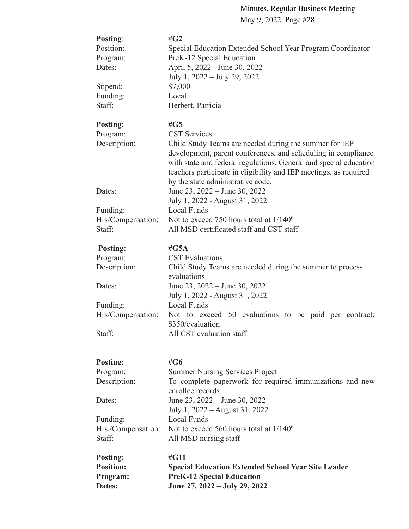| Posting:                            | # $G2$                                                                                        |  |  |
|-------------------------------------|-----------------------------------------------------------------------------------------------|--|--|
| Position:                           | Special Education Extended School Year Program Coordinator                                    |  |  |
| Program:<br>Dates:                  | PreK-12 Special Education<br>April 5, 2022 - June 30, 2022                                    |  |  |
|                                     | July 1, 2022 – July 29, 2022                                                                  |  |  |
|                                     | \$7,000                                                                                       |  |  |
| Stipend:<br>Funding:                | Local                                                                                         |  |  |
| Staff:                              | Herbert, Patricia                                                                             |  |  |
|                                     |                                                                                               |  |  |
| <b>Posting:</b>                     | $\#G5$                                                                                        |  |  |
| Program:                            | <b>CST Services</b>                                                                           |  |  |
| Description:                        | Child Study Teams are needed during the summer for IEP                                        |  |  |
|                                     | development, parent conferences, and scheduling in compliance                                 |  |  |
|                                     | with state and federal regulations. General and special education                             |  |  |
|                                     | teachers participate in eligibility and IEP meetings, as required                             |  |  |
|                                     | by the state administrative code.                                                             |  |  |
| Dates:                              | June 23, 2022 – June 30, 2022                                                                 |  |  |
|                                     | July 1, 2022 - August 31, 2022                                                                |  |  |
| Funding:                            | <b>Local Funds</b>                                                                            |  |  |
| Hrs/Compensation:                   | Not to exceed 750 hours total at $1/140^{th}$                                                 |  |  |
| Staff:                              | All MSD certificated staff and CST staff                                                      |  |  |
| Posting:                            | # $G5A$                                                                                       |  |  |
| Program:                            | <b>CST</b> Evaluations                                                                        |  |  |
| Description:                        | Child Study Teams are needed during the summer to process                                     |  |  |
|                                     | evaluations                                                                                   |  |  |
| Dates:                              | June 23, 2022 – June 30, 2022                                                                 |  |  |
|                                     | July 1, 2022 - August 31, 2022                                                                |  |  |
| Funding:                            | Local Funds                                                                                   |  |  |
| Hrs/Compensation:                   | Not to exceed 50 evaluations to be paid per contract;                                         |  |  |
|                                     | \$350/evaluation                                                                              |  |  |
| Staff:                              | All CST evaluation staff                                                                      |  |  |
|                                     |                                                                                               |  |  |
| <b>Posting:</b>                     | # $G6$                                                                                        |  |  |
| Program:                            | <b>Summer Nursing Services Project</b>                                                        |  |  |
| Description:                        | To complete paperwork for required immunizations and new                                      |  |  |
|                                     | enrollee records.                                                                             |  |  |
| Dates:                              | June 23, 2022 – June 30, 2022                                                                 |  |  |
|                                     | July 1, 2022 – August 31, 2022                                                                |  |  |
| Funding:                            | Local Funds                                                                                   |  |  |
| Hrs./Compensation:                  | Not to exceed 560 hours total at $1/140^{\text{th}}$                                          |  |  |
| Staff:                              | All MSD nursing staff                                                                         |  |  |
|                                     |                                                                                               |  |  |
| <b>Posting:</b><br><b>Position:</b> | #G11                                                                                          |  |  |
| Program:                            | <b>Special Education Extended School Year Site Leader</b><br><b>PreK-12 Special Education</b> |  |  |
| Dates:                              | June 27, 2022 – July 29, 2022                                                                 |  |  |
|                                     |                                                                                               |  |  |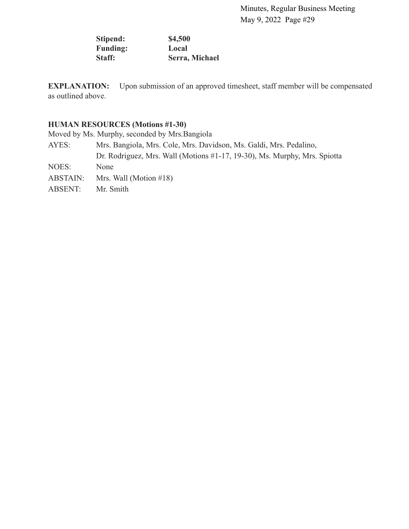**Stipend: \$4,500 Funding: Local Staff: Serra, Michael**

**EXPLANATION:** Upon submission of an approved timesheet, staff member will be compensated as outlined above.

# **HUMAN RESOURCES (Motions #1-30)**

Moved by Ms. Murphy, seconded by Mrs.Bangiola

AYES: Mrs. Bangiola, Mrs. Cole, Mrs. Davidson, Ms. Galdi, Mrs. Pedalino, Dr. Rodriguez, Mrs. Wall (Motions #1-17, 19-30), Ms. Murphy, Mrs. Spiotta NOES: None ABSTAIN: Mrs. Wall (Motion #18) ABSENT: Mr. Smith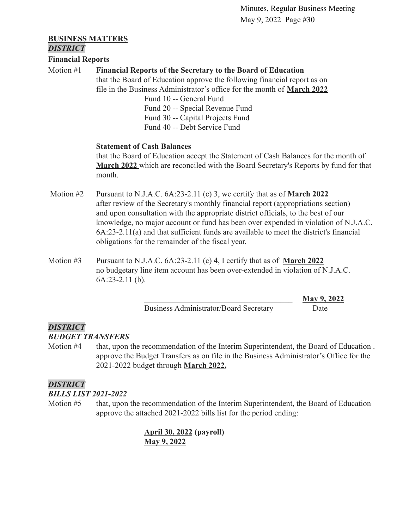# **BUSINESS MATTERS**

*DISTRICT*

## **Financial Reports**

# Motion #1 **Financial Reports of the Secretary to the Board of Education**

that the Board of Education approve the following financial report as on file in the Business Administrator's office for the month of **[March 2022](https://drive.google.com/file/d/1BCc-AZw1eSErFDqg31dg8BNx3cneiyGX/view?usp=sharing)**

> Fund 10 -- General Fund Fund 20 -- Special Revenue Fund Fund 30 -- Capital Projects Fund Fund 40 -- Debt Service Fund

## **Statement of Cash Balances**

that the Board of Education accept the Statement of Cash Balances for the month of **[March 2022](https://drive.google.com/file/d/17Wzbcq6Ykk5kzSwi5rUU0pXjB8OFFPim/view?usp=sharing)** which are reconciled with the Board Secretary's Reports by fund for that month.

- Motion #2 Pursuant to N.J.A.C. 6A:23-2.11 (c) 3, we certify that as of **March 2022** after review of the Secretary's monthly financial report (appropriations section) and upon consultation with the appropriate district officials, to the best of our knowledge, no major account or fund has been over expended in violation of N.J.A.C. 6A:23-2.11(a) and that sufficient funds are available to meet the district's financial obligations for the remainder of the fiscal year.
- Motion #3 Pursuant to N.J.A.C. 6A:23-2.11 (c) 4, I certify that as of **March 2022** no budgetary line item account has been over-extended in violation of N.J.A.C. 6A:23-2.11 (b).

Business Administrator/Board Secretary Date

\_\_\_\_\_\_\_\_\_\_\_\_\_\_\_\_\_\_\_\_\_\_\_\_\_\_\_\_\_\_\_\_\_\_\_\_\_ **May 9, 2022**

# *DISTRICT*

# *BUDGET TRANSFERS*

Motion #4 that, upon the recommendation of the Interim Superintendent, the Board of Education . approve the Budget Transfers as on file in the Business Administrator's Office for the 2021-2022 budget through **[March 2022.](https://drive.google.com/file/d/1BCPR-tvlkiOjNBSZqQU0h-7mNGbhhgmF/view?usp=sharing)**

# *DISTRICT*

# *BILLS LIST 2021-2022*

Motion #5 that, upon the recommendation of the Interim Superintendent, the Board of Education approve the attached 2021-2022 bills list for the period ending:

> **[April 30, 2022](https://drive.google.com/file/d/1k1NVwc7wnEH_BDwoxNDhON2E_Gz7q52E/view?usp=sharing) (payroll) [May 9, 2022](https://drive.google.com/file/d/16nzN-Xry33N87Vagvv6XPmrqUQZlmPAf/view?usp=sharing)**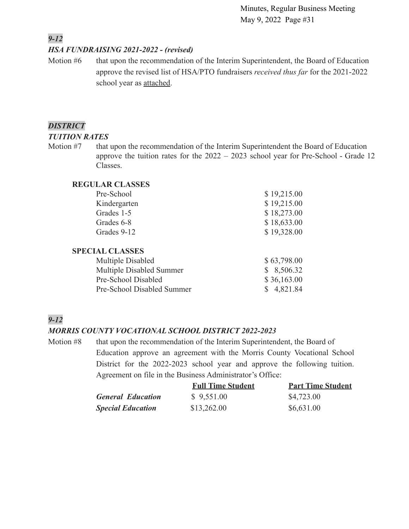# *9-12*

## *HSA FUNDRAISING 2021-2022 - (revised)*

Motion #6 that upon the recommendation of the Interim Superintendent, the Board of Education approve the revised list of HSA/PTO fundraisers *received thus far* for the 2021-2022 school year as [attached.](https://drive.google.com/file/d/1qHCyEda516DjcA9mxfH6X-iRrNL6K_63/view?usp=sharing)

## *DISTRICT*

#### *TUITION RATES*

Motion #7 that upon the recommendation of the Interim Superintendent the Board of Education approve the tuition rates for the 2022 – 2023 school year for Pre-School - Grade 12 Classes.

## **REGULAR CLASSES**

| Pre-School                 | \$19,215.00 |
|----------------------------|-------------|
| Kindergarten               | \$19,215.00 |
| Grades 1-5                 | \$18,273.00 |
| Grades 6-8                 | \$18,633.00 |
| Grades 9-12                | \$19,328.00 |
| <b>SPECIAL CLASSES</b>     |             |
| Multiple Disabled          | \$63,798.00 |
| Multiple Disabled Summer   | 8,506.32    |
| Pre-School Disabled        | \$36,163.00 |
| Pre-School Disabled Summer | 4,821.84    |

# *9-12*

## *MORRIS COUNTY VOCATIONAL SCHOOL DISTRICT 2022-2023*

Motion #8 that upon the recommendation of the Interim Superintendent, the Board of Education approve an agreement with the Morris County Vocational School District for the 2022-2023 school year and approve the following tuition. Agreement on file in the Business Administrator's Office:

|                          | <b>Full Time Student</b> | <b>Part Time Student</b> |
|--------------------------|--------------------------|--------------------------|
| <b>General Education</b> | \$9,551.00               | \$4,723.00               |
| <b>Special Education</b> | \$13,262.00              | \$6,631.00               |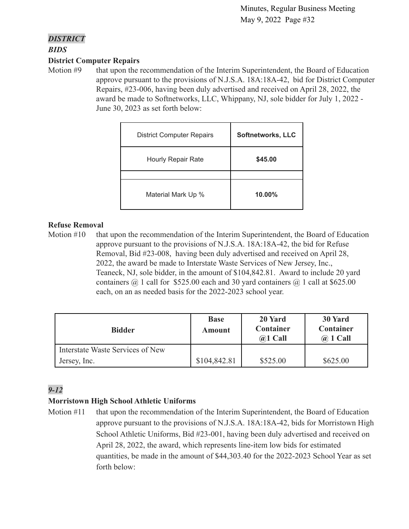## *DISTRICT*

*BIDS*

## **District Computer Repairs**

Motion #9 that upon the recommendation of the Interim Superintendent, the Board of Education approve pursuant to the provisions of N.J.S.A. 18A:18A-42, bid for District Computer Repairs, #23-006, having been duly advertised and received on April 28, 2022, the award be made to Softnetworks, LLC, Whippany, NJ, sole bidder for July 1, 2022 - June 30, 2023 as set forth below:

| <b>District Computer Repairs</b> | <b>Softnetworks, LLC</b> |
|----------------------------------|--------------------------|
| <b>Hourly Repair Rate</b>        | \$45.00                  |
|                                  |                          |
| Material Mark Up %               | $10.00\%$                |

## **Refuse Removal**

Motion #10 that upon the recommendation of the Interim Superintendent, the Board of Education approve pursuant to the provisions of N.J.S.A. 18A:18A-42, the bid for Refuse Removal, Bid #23-008, having been duly advertised and received on April 28, 2022, the award be made to Interstate Waste Services of New Jersey, Inc., Teaneck, NJ, sole bidder, in the amount of \$104,842.81. Award to include 20 yard containers  $\omega$  1 call for \$525.00 each and 30 yard containers  $\omega$  1 call at \$625.00 each, on an as needed basis for the 2022-2023 school year.

| <b>Bidder</b>                    | <b>Base</b><br>Amount | 20 Yard<br>Container<br>$(a)1$ Call | 30 Yard<br>Container<br>$\omega$ 1 Call |
|----------------------------------|-----------------------|-------------------------------------|-----------------------------------------|
| Interstate Waste Services of New |                       |                                     |                                         |
| Jersey, Inc.                     | \$104,842.81          | \$525.00                            | \$625.00                                |

# *9-12*

# **Morristown High School Athletic Uniforms**

Motion #11 that upon the recommendation of the Interim Superintendent, the Board of Education approve pursuant to the provisions of N.J.S.A. 18A:18A-42, bids for Morristown High School Athletic Uniforms, Bid #23-001, having been duly advertised and received on April 28, 2022, the award, which represents line-item low bids for estimated quantities, be made in the amount of \$44,303.40 for the 2022-2023 School Year as set forth below: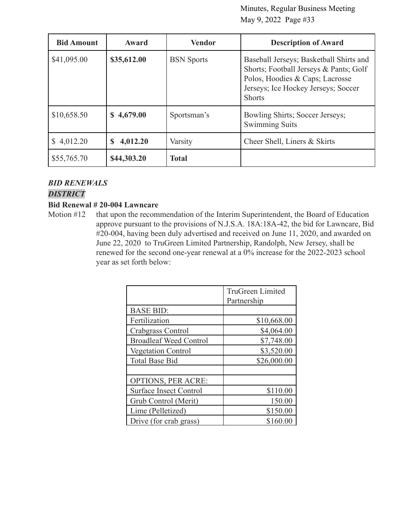| <b>Bid Amount</b> | Award         | <b>Vendor</b>     | <b>Description of Award</b>                                                                                                                                                  |
|-------------------|---------------|-------------------|------------------------------------------------------------------------------------------------------------------------------------------------------------------------------|
| \$41,095.00       | \$35,612.00   | <b>BSN</b> Sports | Baseball Jerseys; Basketball Shirts and<br>Shorts; Football Jerseys & Pants; Golf<br>Polos, Hoodies & Caps; Lacrosse<br>Jerseys; Ice Hockey Jerseys; Soccer<br><b>Shorts</b> |
| \$10,658.50       | \$4,679.00    | Sportsman's       | Bowling Shirts; Soccer Jerseys;<br><b>Swimming Suits</b>                                                                                                                     |
| 4,012.20          | 4,012.20<br>S | Varsity           | Cheer Shell, Liners & Skirts                                                                                                                                                 |
| \$55,765.70       | \$44,303.20   | <b>Total</b>      |                                                                                                                                                                              |

## *BID RENEWALS*

## *DISTRICT*

#### **Bid Renewal # 20-004 Lawncare**

Motion #12 that upon the recommendation of the Interim Superintendent, the Board of Education approve pursuant to the provisions of N.J.S.A. 18A:18A-42, the bid for Lawncare, Bid #20-004, having been duly advertised and received on June 11, 2020, and awarded on June 22, 2020 to TruGreen Limited Partnership, Randolph, New Jersey, shall be renewed for the second one-year renewal at a 0% increase for the 2022-2023 school year as set forth below:

|                               | <b>TruGreen Limited</b><br>Partnership |
|-------------------------------|----------------------------------------|
| <b>BASE BID:</b>              |                                        |
| Fertilization                 | \$10,668.00                            |
| Crabgrass Control             | \$4,064.00                             |
| <b>Broadleaf Weed Control</b> | \$7,748.00                             |
| <b>Vegetation Control</b>     | \$3,520.00                             |
| <b>Total Base Bid</b>         | \$26,000.00                            |
|                               |                                        |
| <b>OPTIONS, PER ACRE:</b>     |                                        |
| <b>Surface Insect Control</b> | \$110.00                               |
| Grub Control (Merit)          | 150.00                                 |
| Lime (Pelletized)             | \$150.00                               |
| Drive (for crab grass)        | \$160.00                               |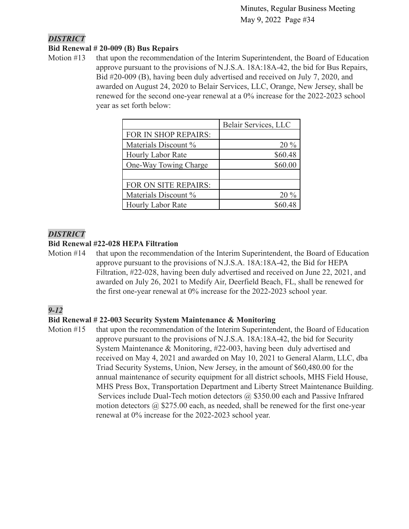## *DISTRICT*

## **Bid Renewal # 20-009 (B) Bus Repairs**

Motion #13 that upon the recommendation of the Interim Superintendent, the Board of Education approve pursuant to the provisions of N.J.S.A. 18A:18A-42, the bid for Bus Repairs, Bid #20-009 (B), having been duly advertised and received on July 7, 2020, and awarded on August 24, 2020 to Belair Services, LLC, Orange, New Jersey, shall be renewed for the second one-year renewal at a 0% increase for the 2022-2023 school year as set forth below:

|                          | Belair Services, LLC |
|--------------------------|----------------------|
| FOR IN SHOP REPAIRS:     |                      |
| Materials Discount %     | $20\%$               |
| <b>Hourly Labor Rate</b> | \$60.48              |
| One-Way Towing Charge    | \$60.00              |
|                          |                      |
| FOR ON SITE REPAIRS:     |                      |
| Materials Discount %     | $20\%$               |
| Hourly Labor Rate        |                      |

## *DISTRICT*

## **Bid Renewal #22-028 HEPA Filtration**

Motion #14 that upon the recommendation of the Interim Superintendent, the Board of Education approve pursuant to the provisions of N.J.S.A. 18A:18A-42, the Bid for HEPA Filtration, #22-028, having been duly advertised and received on June 22, 2021, and awarded on July 26, 2021 to Medify Air, Deerfield Beach, FL, shall be renewed for the first one-year renewal at 0% increase for the 2022-2023 school year.

# *9-12*

## **Bid Renewal # 22-003 Security System Maintenance & Monitoring**

Motion #15 that upon the recommendation of the Interim Superintendent, the Board of Education approve pursuant to the provisions of N.J.S.A. 18A:18A-42, the bid for Security System Maintenance & Monitoring, #22-003, having been duly advertised and received on May 4, 2021 and awarded on May 10, 2021 to General Alarm, LLC, dba Triad Security Systems, Union, New Jersey, in the amount of \$60,480.00 for the annual maintenance of security equipment for all district schools, MHS Field House, MHS Press Box, Transportation Department and Liberty Street Maintenance Building. Services include Dual-Tech motion detectors @ \$350.00 each and Passive Infrared motion detectors  $\omega$  \$275.00 each, as needed, shall be renewed for the first one-year renewal at 0% increase for the 2022-2023 school year.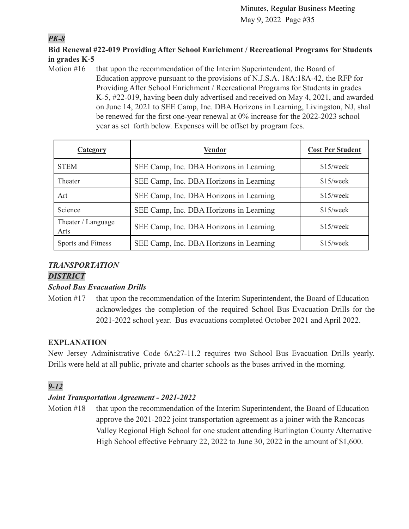# *PK-8*

# **Bid Renewal #22-019 Providing After School Enrichment / Recreational Programs for Students in grades K-5**

Motion #16 that upon the recommendation of the Interim Superintendent, the Board of Education approve pursuant to the provisions of N.J.S.A. 18A:18A-42, the RFP for Providing After School Enrichment / Recreational Programs for Students in grades K-5, #22-019, having been duly advertised and received on May 4, 2021, and awarded on June 14, 2021 to SEE Camp, Inc. DBA Horizons in Learning, Livingston, NJ, shal be renewed for the first one-year renewal at 0% increase for the 2022-2023 school year as set forth below. Expenses will be offset by program fees.

| <b>Category</b>            | <b>Vendor</b>                           | <b>Cost Per Student</b> |
|----------------------------|-----------------------------------------|-------------------------|
| <b>STEM</b>                | SEE Camp, Inc. DBA Horizons in Learning | $$15$ /week             |
| Theater                    | SEE Camp, Inc. DBA Horizons in Learning | $$15$ /week             |
| Art                        | SEE Camp, Inc. DBA Horizons in Learning | $$15$ /week             |
| Science                    | SEE Camp, Inc. DBA Horizons in Learning | $$15$ /week             |
| Theater / Language<br>Arts | SEE Camp, Inc. DBA Horizons in Learning | $$15$ /week             |
| Sports and Fitness         | SEE Camp, Inc. DBA Horizons in Learning | $$15$ /week             |

# *TRANSPORTATION*

# *DISTRICT*

# *School Bus Evacuation Drills*

Motion #17 that upon the recommendation of the Interim Superintendent, the Board of Education acknowledges the completion of the required School Bus Evacuation Drills for the 2021-2022 school year. Bus evacuations completed October 2021 and April 2022.

# **EXPLANATION**

New Jersey Administrative Code 6A:27-11.2 requires two School Bus Evacuation Drills yearly. Drills were held at all public, private and charter schools as the buses arrived in the morning.

# *9-12*

# *Joint Transportation Agreement - 2021-2022*

Motion #18 that upon the recommendation of the Interim Superintendent, the Board of Education approve the 2021-2022 joint transportation agreement as a joiner with the Rancocas Valley Regional High School for one student attending Burlington County Alternative High School effective February 22, 2022 to June 30, 2022 in the amount of \$1,600.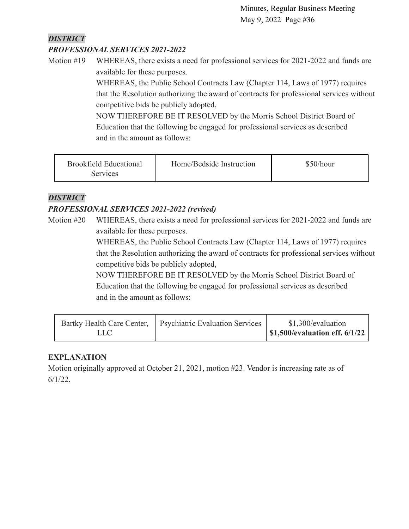# *DISTRICT*

# *PROFESSIONAL SERVICES 2021-2022*

Motion #19 WHEREAS, there exists a need for professional services for 2021-2022 and funds are available for these purposes.

> WHEREAS, the Public School Contracts Law (Chapter 114, Laws of 1977) requires that the Resolution authorizing the award of contracts for professional services without competitive bids be publicly adopted,

NOW THEREFORE BE IT RESOLVED by the Morris School District Board of Education that the following be engaged for professional services as described and in the amount as follows:

| <b>Brookfield Educational</b><br>Services | Home/Bedside Instruction | \$50/hour |
|-------------------------------------------|--------------------------|-----------|
|-------------------------------------------|--------------------------|-----------|

# *DISTRICT*

# *PROFESSIONAL SERVICES 2021-2022 (revised)*

Motion #20 WHEREAS, there exists a need for professional services for 2021-2022 and funds are available for these purposes.

> WHEREAS, the Public School Contracts Law (Chapter 114, Laws of 1977) requires that the Resolution authorizing the award of contracts for professional services without competitive bids be publicly adopted,

NOW THEREFORE BE IT RESOLVED by the Morris School District Board of Education that the following be engaged for professional services as described and in the amount as follows:

|      | Bartky Health Care Center,   Psychiatric Evaluation Services | \$1,300/evaluation                     |
|------|--------------------------------------------------------------|----------------------------------------|
| LLC' |                                                              | $\vert$ \$1,500/evaluation eff. 6/1/22 |

# **EXPLANATION**

Motion originally approved at October 21, 2021, motion #23. Vendor is increasing rate as of 6/1/22.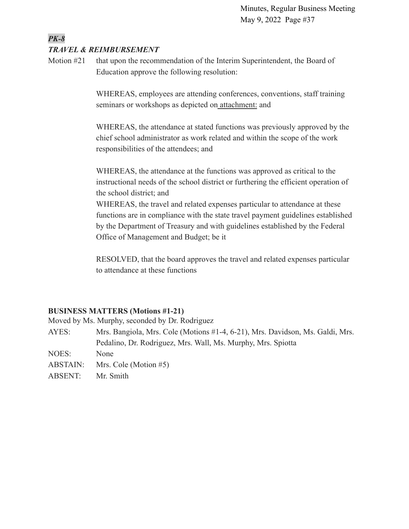## *PK-8 TRAVEL & REIMBURSEMENT*

Motion #21 that upon the recommendation of the Interim Superintendent, the Board of Education approve the following resolution:

> WHEREAS, employees are attending conferences, conventions, staff training seminars or workshops as depicted on [attachment:](https://drive.google.com/file/d/1BK-_Zrh1Jn7F8cb13qge0FG2ylG4Peo_/view?usp=sharing) and

WHEREAS, the attendance at stated functions was previously approved by the chief school administrator as work related and within the scope of the work responsibilities of the attendees; and

WHEREAS, the attendance at the functions was approved as critical to the instructional needs of the school district or furthering the efficient operation of the school district; and

WHEREAS, the travel and related expenses particular to attendance at these functions are in compliance with the state travel payment guidelines established by the Department of Treasury and with guidelines established by the Federal Office of Management and Budget; be it

RESOLVED, that the board approves the travel and related expenses particular to attendance at these functions

# **BUSINESS MATTERS (Motions #1-21)**

Moved by Ms. Murphy, seconded by Dr. Rodriguez

AYES: Mrs. Bangiola, Mrs. Cole (Motions #1-4, 6-21), Mrs. Davidson, Ms. Galdi, Mrs. Pedalino, Dr. Rodriguez, Mrs. Wall, Ms. Murphy, Mrs. Spiotta

NOES: None

- ABSTAIN: Mrs. Cole (Motion #5)
- ABSENT: Mr. Smith